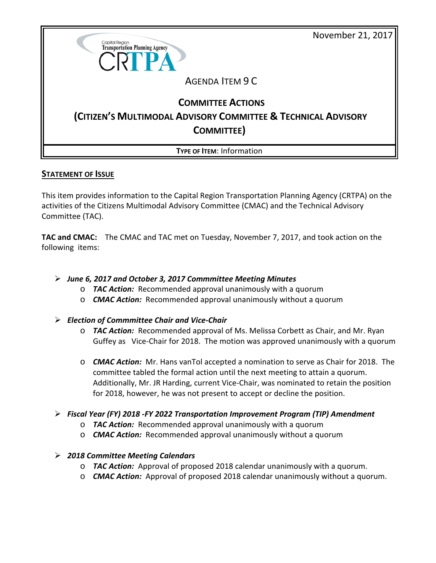November 21, 2017



## **STATEMENT OF ISSUE**

This item provides information to the Capital Region Transportation Planning Agency (CRTPA) on the activities of the Citizens Multimodal Advisory Committee (CMAC) and the Technical Advisory Committee (TAC).

**TAC and CMAC:** The CMAC and TAC met on Tuesday, November 7, 2017, and took action on the following items:

## *June 6, 2017 and October 3, 2017 Commmittee Meeting Minutes*

- o *TAC Action:* Recommended approval unanimously with a quorum
- o *CMAC Action:* Recommended approval unanimously without a quorum

## *Election of Commmittee Chair and Vice-Chair*

- o *TAC Action:* Recommended approval of Ms. Melissa Corbett as Chair, and Mr. Ryan Guffey as Vice-Chair for 2018. The motion was approved unanimously with a quorum
- o *CMAC Action:* Mr. Hans vanTol accepted a nomination to serve as Chair for 2018. The committee tabled the formal action until the next meeting to attain a quorum. Additionally, Mr. JR Harding, current Vice-Chair, was nominated to retain the position for 2018, however, he was not present to accept or decline the position.
- *Fiscal Year (FY) 2018 -FY 2022 Transportation Improvement Program (TIP) Amendment*
	- o *TAC Action:* Recommended approval unanimously with a quorum
	- o *CMAC Action:* Recommended approval unanimously without a quorum

## *2018 Committee Meeting Calendars*

- o *TAC Action:* Approval of proposed 2018 calendar unanimously with a quorum.
- o *CMAC Action:* Approval of proposed 2018 calendar unanimously without a quorum.